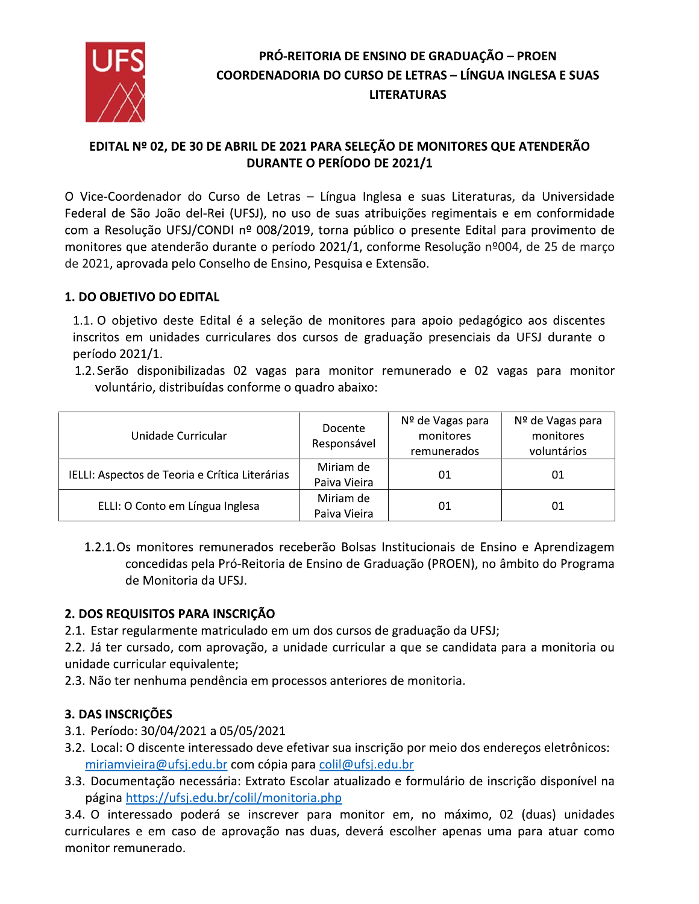

## EDITAL Nº 02, DE 30 DE ABRIL DE 2021 PARA SELEÇÃO DE MONITORES QUE ATENDERÃO **DURANTE O PERÍODO DE 2021/1**

O Vice-Coordenador do Curso de Letras - Língua Inglesa e suas Literaturas, da Universidade Federal de São João del-Rei (UFSJ), no uso de suas atribuições regimentais e em conformidade com a Resolução UFSJ/CONDI nº 008/2019, torna público o presente Edital para provimento de monitores que atenderão durante o período 2021/1, conforme Resolução nº004, de 25 de março de 2021, aprovada pelo Conselho de Ensino, Pesquisa e Extensão.

#### 1. DO OBJETIVO DO EDITAL

1.1. O objetivo deste Edital é a seleção de monitores para apoio pedagógico aos discentes inscritos em unidades curriculares dos cursos de graduação presenciais da UFSJ durante o período 2021/1.

1.2. Serão disponibilizadas 02 vagas para monitor remunerado e 02 vagas para monitor voluntário, distribuídas conforme o quadro abaixo:

| Unidade Curricular                             | Docente<br>Responsável    | Nº de Vagas para<br>monitores<br>remunerados | Nº de Vagas para<br>monitores<br>voluntários |
|------------------------------------------------|---------------------------|----------------------------------------------|----------------------------------------------|
| IELLI: Aspectos de Teoria e Crítica Literárias | Miriam de<br>Paiva Vieira | 01                                           | 01                                           |
| ELLI: O Conto em Língua Inglesa                | Miriam de<br>Paiva Vieira | 01                                           | 01                                           |

1.2.1. Os monitores remunerados receberão Bolsas Institucionais de Ensino e Aprendizagem concedidas pela Pró-Reitoria de Ensino de Graduação (PROEN), no âmbito do Programa de Monitoria da UFSJ.

#### 2. DOS REQUISITOS PARA INSCRIÇÃO

2.1. Estar regularmente matriculado em um dos cursos de graduação da UFSJ;

2.2. Já ter cursado, com aprovação, a unidade curricular a que se candidata para a monitoria ou unidade curricular equivalente;

2.3. Não ter nenhuma pendência em processos anteriores de monitoria.

## 3. DAS INSCRIÇÕES

- 3.1. Período: 30/04/2021 a 05/05/2021
- 3.2. Local: O discente interessado deve efetivar sua inscrição por meio dos endereços eletrônicos: miriamvieira@ufsj.edu.br com cópia para colil@ufsj.edu.br
- 3.3. Documentação necessária: Extrato Escolar atualizado e formulário de inscrição disponível na página https://ufsj.edu.br/colil/monitoria.php

3.4. O interessado poderá se inscrever para monitor em, no máximo, 02 (duas) unidades curriculares e em caso de aprovação nas duas, deverá escolher apenas uma para atuar como monitor remunerado.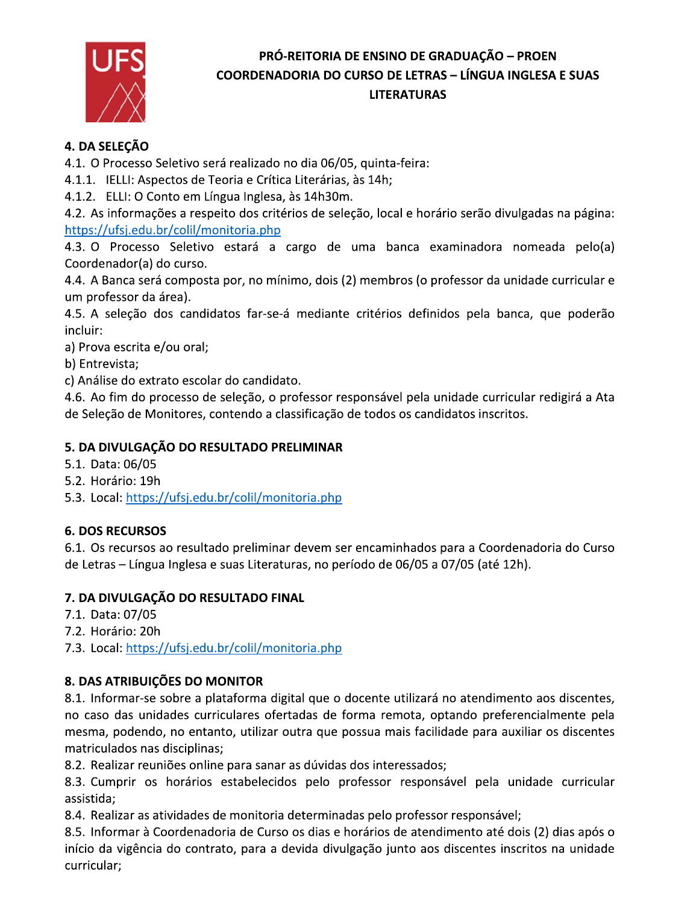

## 4. DA SELECÃO

4.1. O Processo Seletivo será realizado no dia 06/05, quinta-feira:

4.1.1. IELLI: Aspectos de Teoria e Crítica Literárias, às 14h;

4.1.2. ELLI: O Conto em Língua Inglesa, às 14h30m.

4.2. As informações a respeito dos critérios de seleção, local e horário serão divulgadas na página: https://ufsj.edu.br/colil/monitoria.php

4.3. O Processo Seletivo estará a cargo de uma banca examinadora nomeada pelo(a) Coordenador(a) do curso.

4.4. A Banca será composta por, no mínimo, dois (2) membros (o professor da unidade curricular e um professor da área).

4.5. A seleção dos candidatos far-se-á mediante critérios definidos pela banca, que poderão incluir:

a) Prova escrita e/ou oral;

b) Entrevista;

c) Análise do extrato escolar do candidato.

4.6. Ao fim do processo de seleção, o professor responsável pela unidade curricular redigirá a Ata de Seleção de Monitores, contendo a classificação de todos os candidatos inscritos.

#### 5. DA DIVULGAÇÃO DO RESULTADO PRELIMINAR

5.1. Data: 06/05

5.2. Horário: 19h

5.3. Local: https://ufsj.edu.br/colil/monitoria.php

## **6. DOS RECURSOS**

6.1. Os recursos ao resultado preliminar devem ser encaminhados para a Coordenadoria do Curso de Letras - Língua Inglesa e suas Literaturas, no período de 06/05 a 07/05 (até 12h).

## 7. DA DIVULGAÇÃO DO RESULTADO FINAL

7.1. Data: 07/05

7.2. Horário: 20h

7.3. Local: https://ufsj.edu.br/colil/monitoria.php

## 8. DAS ATRIBUIÇÕES DO MONITOR

8.1. Informar-se sobre a plataforma digital que o docente utilizará no atendimento aos discentes, no caso das unidades curriculares ofertadas de forma remota, optando preferencialmente pela mesma, podendo, no entanto, utilizar outra que possua mais facilidade para auxiliar os discentes matriculados nas disciplinas;

8.2. Realizar reuniões online para sanar as dúvidas dos interessados;

8.3. Cumprir os horários estabelecidos pelo professor responsável pela unidade curricular assistida;

8.4. Realizar as atividades de monitoria determinadas pelo professor responsável;

8.5. Informar à Coordenadoria de Curso os dias e horários de atendimento até dois (2) dias após o início da vigência do contrato, para a devida divulgação junto aos discentes inscritos na unidade curricular;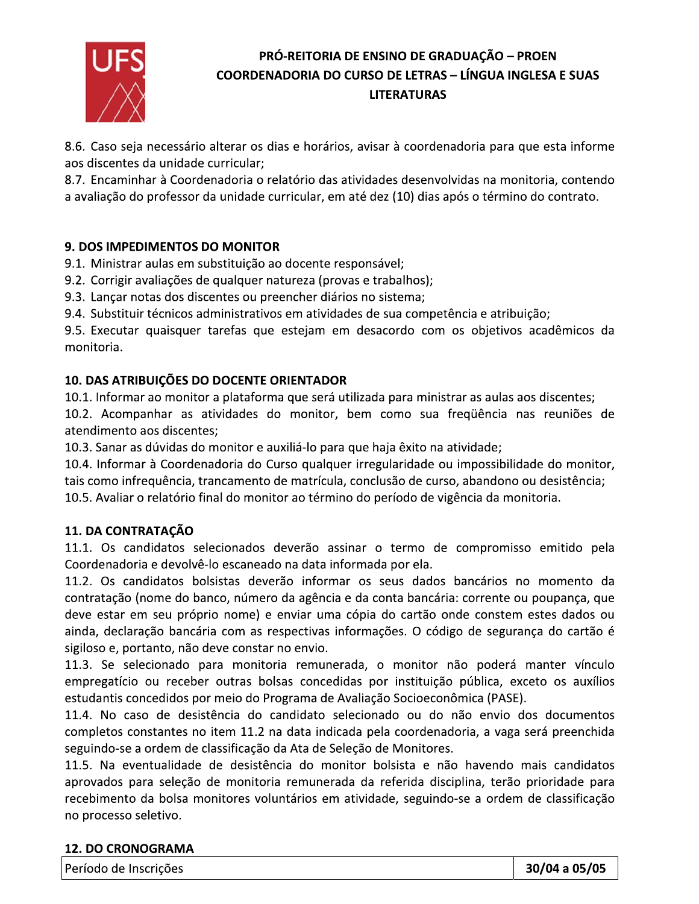

8.6. Caso seja necessário alterar os dias e horários, avisar à coordenadoria para que esta informe aos discentes da unidade curricular;

8.7. Encaminhar à Coordenadoria o relatório das atividades desenvolvidas na monitoria, contendo a avaliação do professor da unidade curricular, em até dez (10) dias após o término do contrato.

#### 9. DOS IMPEDIMENTOS DO MONITOR

9.1. Ministrar aulas em substituição ao docente responsável;

9.2. Corrigir avaliações de qualquer natureza (provas e trabalhos);

9.3. Lançar notas dos discentes ou preencher diários no sistema;

9.4. Substituir técnicos administrativos em atividades de sua competência e atribuição;

9.5. Executar quaisquer tarefas que estejam em desacordo com os objetivos acadêmicos da monitoria.

#### 10. DAS ATRIBUIÇÕES DO DOCENTE ORIENTADOR

10.1. Informar ao monitor a plataforma que será utilizada para ministrar as aulas aos discentes;

10.2. Acompanhar as atividades do monitor, bem como sua freqüência nas reuniões de atendimento aos discentes:

10.3. Sanar as dúvidas do monitor e auxiliá-lo para que haja êxito na atividade;

10.4. Informar à Coordenadoria do Curso qualquer irregularidade ou impossibilidade do monitor, tais como infrequência, trancamento de matrícula, conclusão de curso, abandono ou desistência; 10.5. Avaliar o relatório final do monitor ao término do período de vigência da monitoria.

## 11. DA CONTRATAÇÃO

11.1. Os candidatos selecionados deverão assinar o termo de compromisso emitido pela Coordenadoria e devolvê-lo escaneado na data informada por ela.

11.2. Os candidatos bolsistas deverão informar os seus dados bancários no momento da contratação (nome do banco, número da agência e da conta bancária: corrente ou poupança, que deve estar em seu próprio nome) e enviar uma cópia do cartão onde constem estes dados ou ainda, declaração bancária com as respectivas informações. O código de segurança do cartão é sigiloso e, portanto, não deve constar no envio.

11.3. Se selecionado para monitoria remunerada, o monitor não poderá manter vínculo empregatício ou receber outras bolsas concedidas por instituição pública, exceto os auxílios estudantis concedidos por meio do Programa de Avaliação Socioeconômica (PASE).

11.4. No caso de desistência do candidato selecionado ou do não envio dos documentos completos constantes no item 11.2 na data indicada pela coordenadoria, a vaga será preenchida seguindo-se a ordem de classificação da Ata de Seleção de Monitores.

11.5. Na eventualidade de desistência do monitor bolsista e não havendo mais candidatos aprovados para seleção de monitoria remunerada da referida disciplina, terão prioridade para recebimento da bolsa monitores voluntários em atividade, seguindo-se a ordem de classificação no processo seletivo.

#### **12. DO CRONOGRAMA**

Período de Inscrições